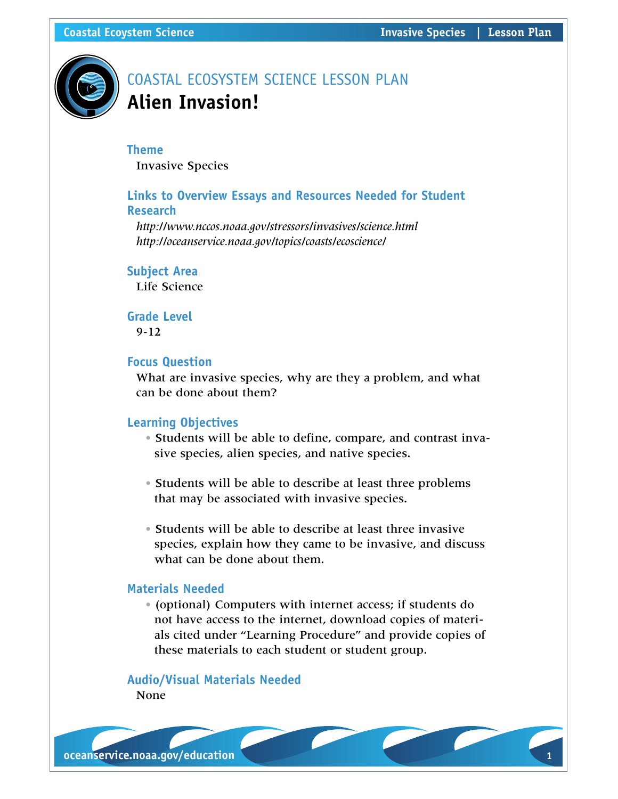

# COASTAL ECOSYSTEM SCIENCE LESSON PLAN **Alien Invasion!**

#### **Theme**

Invasive Species

# **Links to Overview Essays and Resources Needed for Student Research**

*<http://www.nccos.noaa.gov/stressors/invasives/science.html> <http://oceanservice.noaa.gov/topics/coasts/ecoscience/>*

# **Subject Area**

Life Science

# **Grade Level** 9-12

# **Focus Question**

What are invasive species, why are they a problem, and what can be done about them?

# **Learning Objectives**

- Students will be able to define, compare, and contrast invasive species, alien species, and native species.
- Students will be able to describe at least three problems that may be associated with invasive species.
- Students will be able to describe at least three invasive species, explain how they came to be invasive, and discuss what can be done about them.

# **Materials Needed**

• (optional) Computers with internet access; if students do not have access to the internet, download copies of materials cited under "Learning Procedure" and provide copies of these materials to each student or student group.

# **Audio/Visual Materials Needed**

None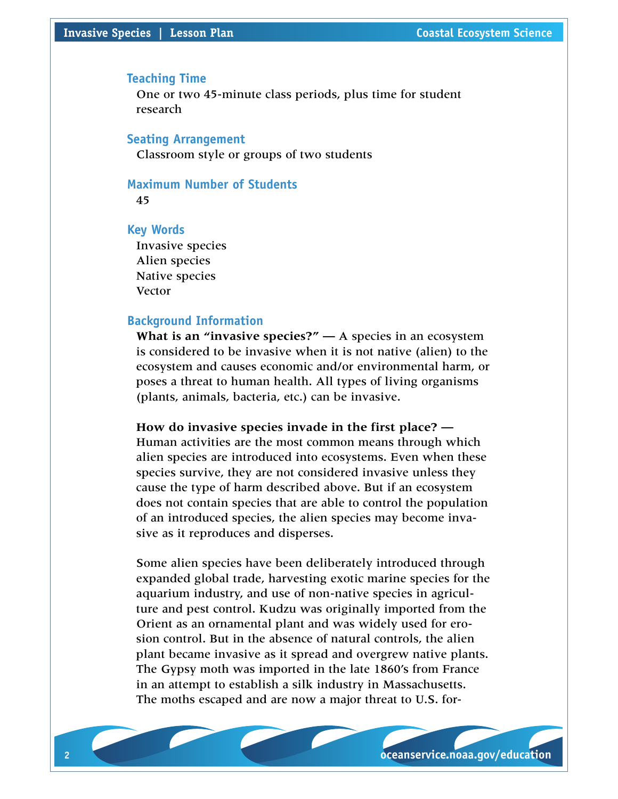#### **Teaching Time**

One or two 45-minute class periods, plus time for student research

# **Seating Arrangement**

Classroom style or groups of two students

# **Maximum Number of Students**

45

# **Key Words**

Invasive species Alien species Native species Vector

#### **Background Information**

**What is an "invasive species?" —** A species in an ecosystem is considered to be invasive when it is not native (alien) to the ecosystem and causes economic and/or environmental harm, or poses a threat to human health. All types of living organisms (plants, animals, bacteria, etc.) can be invasive.

# **How do invasive species invade in the first place? —**

Human activities are the most common means through which alien species are introduced into ecosystems. Even when these species survive, they are not considered invasive unless they cause the type of harm described above. But if an ecosystem does not contain species that are able to control the population of an introduced species, the alien species may become invasive as it reproduces and disperses.

Some alien species have been deliberately introduced through expanded global trade, harvesting exotic marine species for the aquarium industry, and use of non-native species in agriculture and pest control. Kudzu was originally imported from the Orient as an ornamental plant and was widely used for erosion control. But in the absence of natural controls, the alien plant became invasive as it spread and overgrew native plants. The Gypsy moth was imported in the late 1860's from France in an attempt to establish a silk industry in Massachusetts. The moths escaped and are now a major threat to U.S. for-

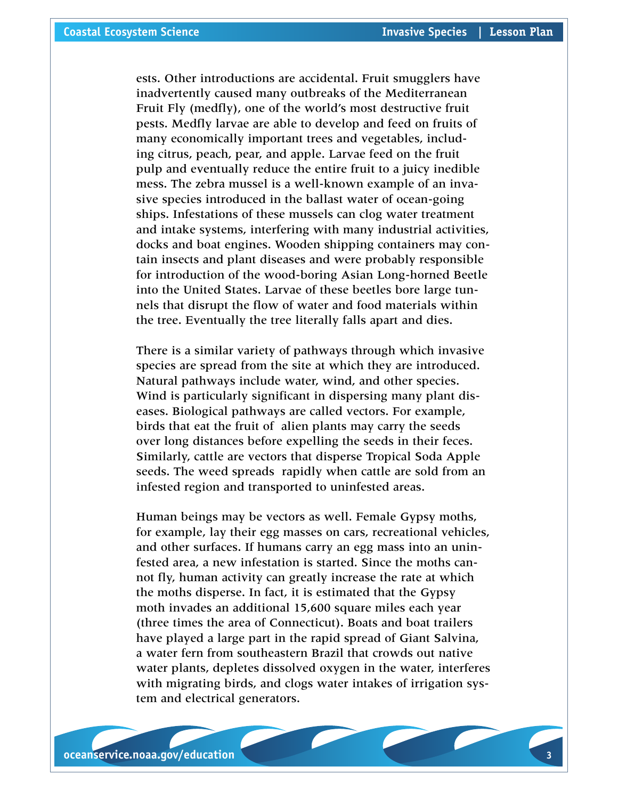ests. Other introductions are accidental. Fruit smugglers have inadvertently caused many outbreaks of the Mediterranean Fruit Fly (medfly), one of the world's most destructive fruit pests. Medfly larvae are able to develop and feed on fruits of many economically important trees and vegetables, including citrus, peach, pear, and apple. Larvae feed on the fruit pulp and eventually reduce the entire fruit to a juicy inedible mess. The zebra mussel is a well-known example of an invasive species introduced in the ballast water of ocean-going ships. Infestations of these mussels can clog water treatment and intake systems, interfering with many industrial activities, docks and boat engines. Wooden shipping containers may contain insects and plant diseases and were probably responsible for introduction of the wood-boring Asian Long-horned Beetle into the United States. Larvae of these beetles bore large tunnels that disrupt the flow of water and food materials within the tree. Eventually the tree literally falls apart and dies.

There is a similar variety of pathways through which invasive species are spread from the site at which they are introduced. Natural pathways include water, wind, and other species. Wind is particularly significant in dispersing many plant diseases. Biological pathways are called vectors. For example, birds that eat the fruit of alien plants may carry the seeds over long distances before expelling the seeds in their feces. Similarly, cattle are vectors that disperse Tropical Soda Apple seeds. The weed spreads rapidly when cattle are sold from an infested region and transported to uninfested areas.

Human beings may be vectors as well. Female Gypsy moths, for example, lay their egg masses on cars, recreational vehicles, and other surfaces. If humans carry an egg mass into an uninfested area, a new infestation is started. Since the moths cannot fly, human activity can greatly increase the rate at which the moths disperse. In fact, it is estimated that the Gypsy moth invades an additional 15,600 square miles each year (three times the area of Connecticut). Boats and boat trailers have played a large part in the rapid spread of Giant Salvina, a water fern from southeastern Brazil that crowds out native water plants, depletes dissolved oxygen in the water, interferes with migrating birds, and clogs water intakes of irrigation system and electrical generators.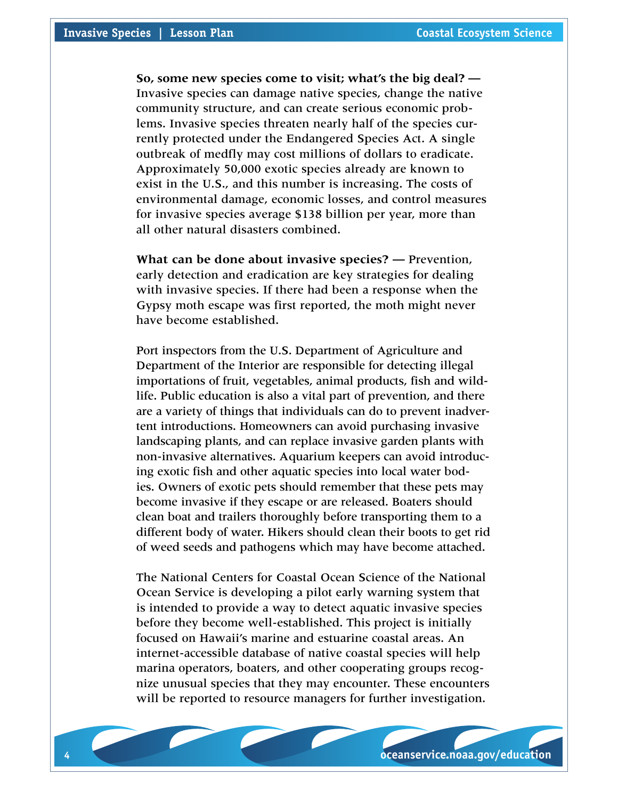**So, some new species come to visit; what's the big deal? —**  Invasive species can damage native species, change the native community structure, and can create serious economic problems. Invasive species threaten nearly half of the species currently protected under the Endangered Species Act. A single outbreak of medfly may cost millions of dollars to eradicate. Approximately 50,000 exotic species already are known to exist in the U.S., and this number is increasing. The costs of environmental damage, economic losses, and control measures for invasive species average \$138 billion per year, more than all other natural disasters combined.

**What can be done about invasive species? —** Prevention, early detection and eradication are key strategies for dealing with invasive species. If there had been a response when the Gypsy moth escape was first reported, the moth might never have become established.

Port inspectors from the U.S. Department of Agriculture and Department of the Interior are responsible for detecting illegal importations of fruit, vegetables, animal products, fish and wildlife. Public education is also a vital part of prevention, and there are a variety of things that individuals can do to prevent inadvertent introductions. Homeowners can avoid purchasing invasive landscaping plants, and can replace invasive garden plants with non-invasive alternatives. Aquarium keepers can avoid introducing exotic fish and other aquatic species into local water bodies. Owners of exotic pets should remember that these pets may become invasive if they escape or are released. Boaters should clean boat and trailers thoroughly before transporting them to a different body of water. Hikers should clean their boots to get rid of weed seeds and pathogens which may have become attached.

The National Centers for Coastal Ocean Science of the National Ocean Service is developing a pilot early warning system that is intended to provide a way to detect aquatic invasive species before they become well-established. This project is initially focused on Hawaii's marine and estuarine coastal areas. An internet-accessible database of native coastal species will help marina operators, boaters, and other cooperating groups recognize unusual species that they may encounter. These encounters will be reported to resource managers for further investigation.

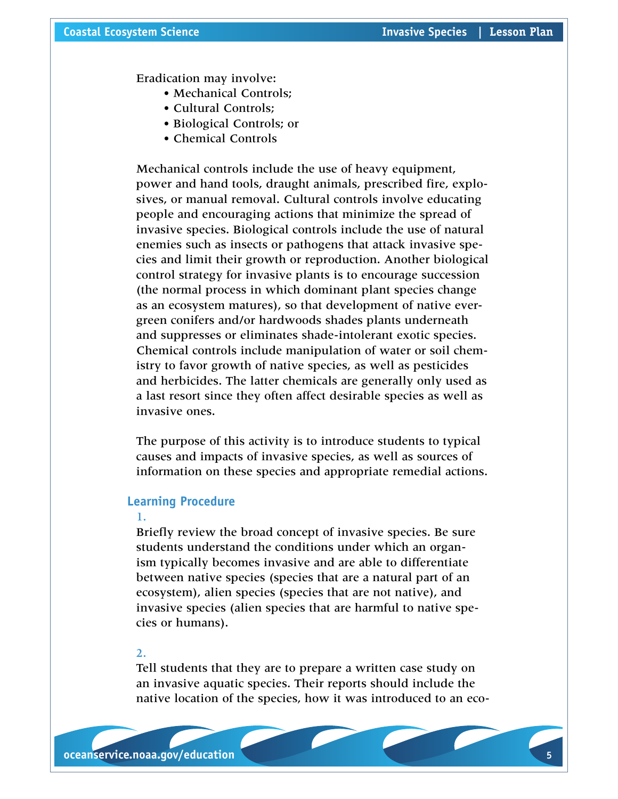Eradication may involve:

- Mechanical Controls;
- Cultural Controls;
- Biological Controls; or
- Chemical Controls

Mechanical controls include the use of heavy equipment, power and hand tools, draught animals, prescribed fire, explosives, or manual removal. Cultural controls involve educating people and encouraging actions that minimize the spread of invasive species. Biological controls include the use of natural enemies such as insects or pathogens that attack invasive species and limit their growth or reproduction. Another biological control strategy for invasive plants is to encourage succession (the normal process in which dominant plant species change as an ecosystem matures), so that development of native evergreen conifers and/or hardwoods shades plants underneath and suppresses or eliminates shade-intolerant exotic species. Chemical controls include manipulation of water or soil chemistry to favor growth of native species, as well as pesticides and herbicides. The latter chemicals are generally only used as a last resort since they often affect desirable species as well as invasive ones.

The purpose of this activity is to introduce students to typical causes and impacts of invasive species, as well as sources of information on these species and appropriate remedial actions.

#### **Learning Procedure**

# 1.

Briefly review the broad concept of invasive species. Be sure students understand the conditions under which an organism typically becomes invasive and are able to differentiate between native species (species that are a natural part of an ecosystem), alien species (species that are not native), and invasive species (alien species that are harmful to native species or humans).

# 2.

Tell students that they are to prepare a written case study on an invasive aquatic species. Their reports should include the native location of the species, how it was introduced to an eco-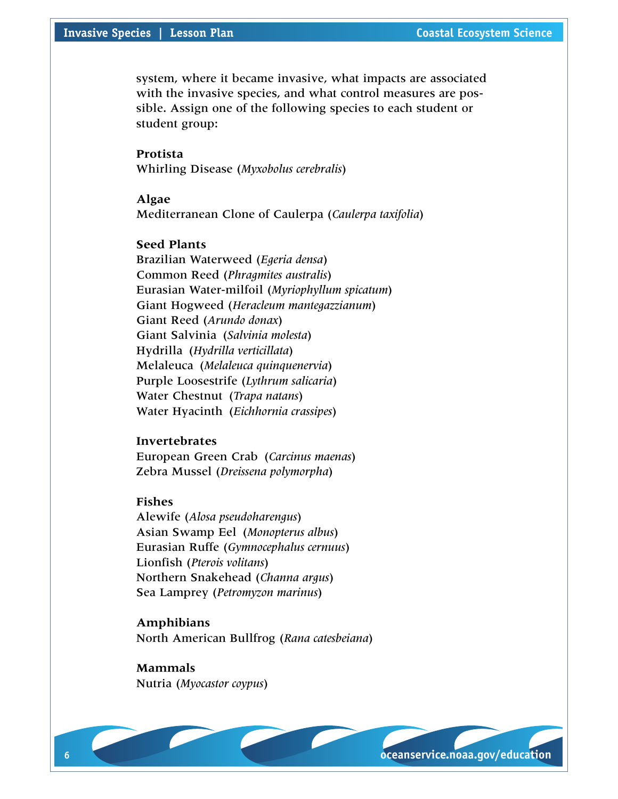# **Invasive Species | Lesson Plan** *<b>Coastal Ecosystem Science* **Coastal Ecosystem Science**

system, where it became invasive, what impacts are associated with the invasive species, and what control measures are possible. Assign one of the following species to each student or student group:

**Protista** Whirling Disease (*Myxobolus cerebralis*)

**Algae**

Mediterranean Clone of Caulerpa (*Caulerpa taxifolia*)

# **Seed Plants**

Brazilian Waterweed (*Egeria densa*) Common Reed (*Phragmites australis*) Eurasian Water-milfoil (*Myriophyllum spicatum*) Giant Hogweed (*Heracleum mantegazzianum*) Giant Reed (*Arundo donax*) Giant Salvinia (*Salvinia molesta*) Hydrilla (*Hydrilla verticillata*) Melaleuca (*Melaleuca quinquenervia*) Purple Loosestrife (*Lythrum salicaria*) Water Chestnut (*Trapa natans*) Water Hyacinth (*Eichhornia crassipes*)

# **Invertebrates**

European Green Crab (*Carcinus maenas*) Zebra Mussel (*Dreissena polymorpha*)

# **Fishes**

Alewife (*Alosa pseudoharengus*) Asian Swamp Eel (*Monopterus albus*) Eurasian Ruffe (*Gymnocephalus cernuus*) Lionfish (*Pterois volitans*) Northern Snakehead (*Channa argus*) Sea Lamprey (*Petromyzon marinus*)

**Amphibians** North American Bullfrog (*Rana catesbeiana*)

**Mammals** Nutria (*Myocastor coypus*)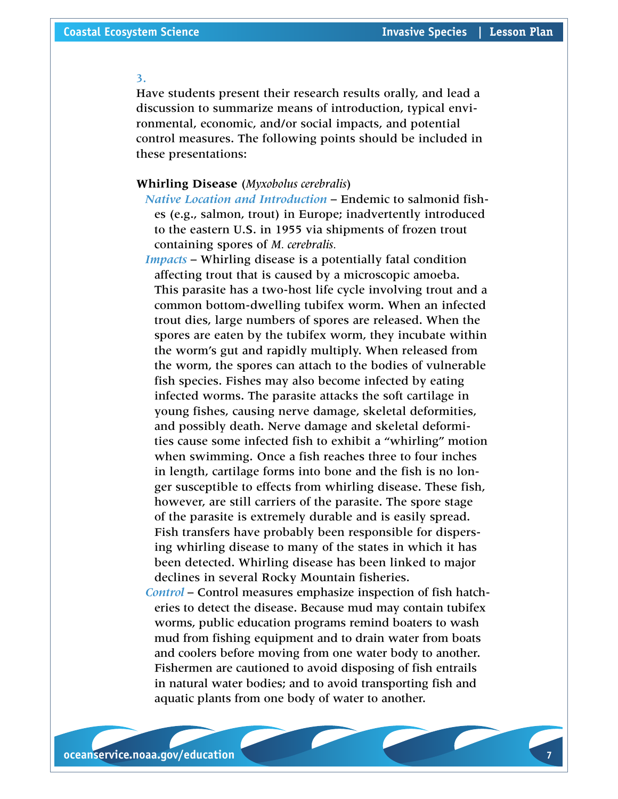#### 3.

Have students present their research results orally, and lead a discussion to summarize means of introduction, typical environmental, economic, and/or social impacts, and potential control measures. The following points should be included in these presentations:

# **Whirling Disease** (*Myxobolus cerebralis*)

*Native Location and Introduction* – Endemic to salmonid fishes (e.g., salmon, trout) in Europe; inadvertently introduced to the eastern U.S. in 1955 via shipments of frozen trout containing spores of *M. cerebralis.*

*Impacts* – Whirling disease is a potentially fatal condition affecting trout that is caused by a microscopic amoeba. This parasite has a two-host life cycle involving trout and a common bottom-dwelling tubifex worm. When an infected trout dies, large numbers of spores are released. When the spores are eaten by the tubifex worm, they incubate within the worm's gut and rapidly multiply. When released from the worm, the spores can attach to the bodies of vulnerable fish species. Fishes may also become infected by eating infected worms. The parasite attacks the soft cartilage in young fishes, causing nerve damage, skeletal deformities, and possibly death. Nerve damage and skeletal deformities cause some infected fish to exhibit a "whirling" motion when swimming. Once a fish reaches three to four inches in length, cartilage forms into bone and the fish is no longer susceptible to effects from whirling disease. These fish, however, are still carriers of the parasite. The spore stage of the parasite is extremely durable and is easily spread. Fish transfers have probably been responsible for dispersing whirling disease to many of the states in which it has been detected. Whirling disease has been linked to major declines in several Rocky Mountain fisheries.

*Control* – Control measures emphasize inspection of fish hatcheries to detect the disease. Because mud may contain tubifex worms, public education programs remind boaters to wash mud from fishing equipment and to drain water from boats and coolers before moving from one water body to another. Fishermen are cautioned to avoid disposing of fish entrails in natural water bodies; and to avoid transporting fish and aquatic plants from one body of water to another.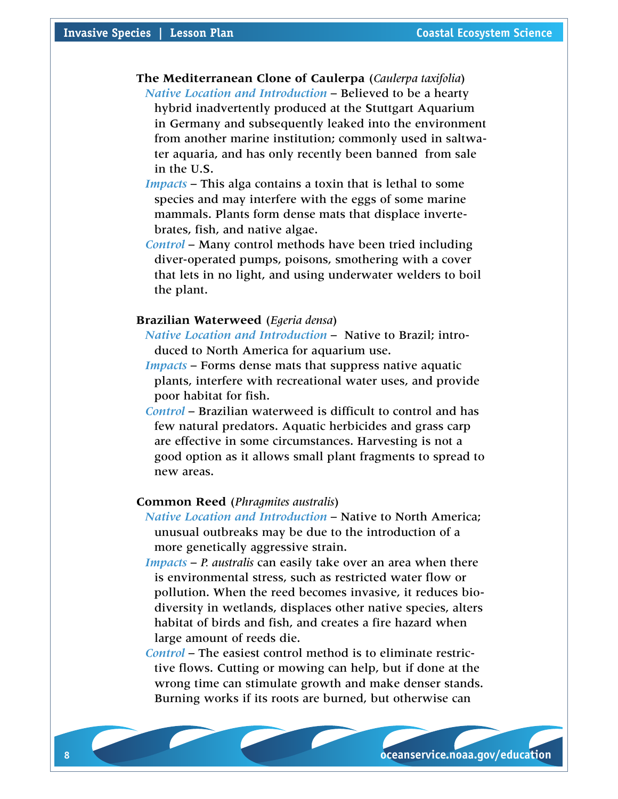**The Mediterranean Clone of Caulerpa** (*Caulerpa taxifolia*) *Native Location and Introduction* – Believed to be a hearty hybrid inadvertently produced at the Stuttgart Aquarium in Germany and subsequently leaked into the environment from another marine institution; commonly used in saltwater aquaria, and has only recently been banned from sale in the U.S.

*Impacts* – This alga contains a toxin that is lethal to some species and may interfere with the eggs of some marine mammals. Plants form dense mats that displace invertebrates, fish, and native algae.

*Control* – Many control methods have been tried including diver-operated pumps, poisons, smothering with a cover that lets in no light, and using underwater welders to boil the plant.

#### **Brazilian Waterweed** (*Egeria densa*)

*Native Location and Introduction* – Native to Brazil; introduced to North America for aquarium use.

- *Impacts* Forms dense mats that suppress native aquatic plants, interfere with recreational water uses, and provide poor habitat for fish.
- *Control* Brazilian waterweed is difficult to control and has few natural predators. Aquatic herbicides and grass carp are effective in some circumstances. Harvesting is not a good option as it allows small plant fragments to spread to new areas.

# **Common Reed** (*Phragmites australis*)

*Native Location and Introduction* – Native to North America; unusual outbreaks may be due to the introduction of a more genetically aggressive strain.

*Impacts* – *P. australis* can easily take over an area when there is environmental stress, such as restricted water flow or pollution. When the reed becomes invasive, it reduces biodiversity in wetlands, displaces other native species, alters habitat of birds and fish, and creates a fire hazard when large amount of reeds die.

*Control* – The easiest control method is to eliminate restrictive flows. Cutting or mowing can help, but if done at the wrong time can stimulate growth and make denser stands. Burning works if its roots are burned, but otherwise can

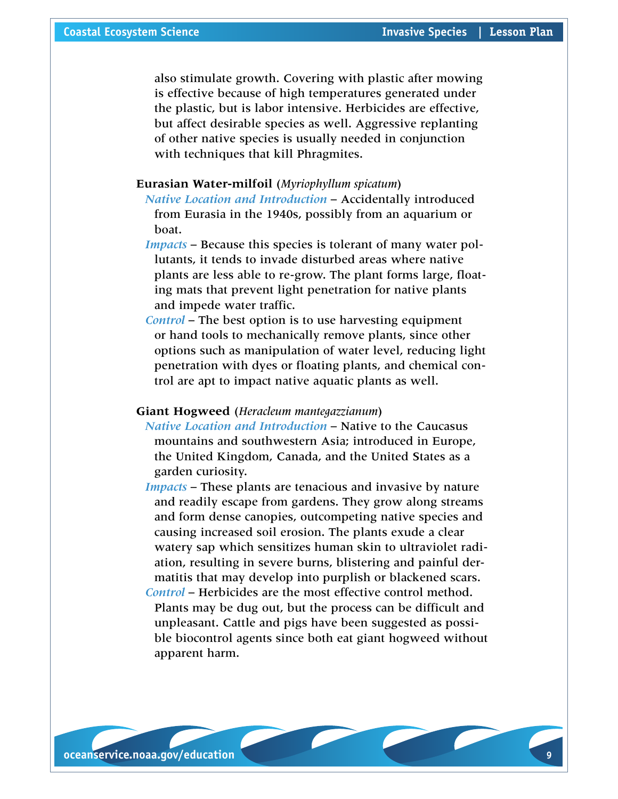also stimulate growth. Covering with plastic after mowing is effective because of high temperatures generated under the plastic, but is labor intensive. Herbicides are effective, but affect desirable species as well. Aggressive replanting of other native species is usually needed in conjunction with techniques that kill Phragmites.

# **Eurasian Water-milfoil** (*Myriophyllum spicatum*)

*Native Location and Introduction* – Accidentally introduced from Eurasia in the 1940s, possibly from an aquarium or boat.

*Impacts* – Because this species is tolerant of many water pollutants, it tends to invade disturbed areas where native plants are less able to re-grow. The plant forms large, floating mats that prevent light penetration for native plants and impede water traffic.

*Control* – The best option is to use harvesting equipment or hand tools to mechanically remove plants, since other options such as manipulation of water level, reducing light penetration with dyes or floating plants, and chemical control are apt to impact native aquatic plants as well.

# **Giant Hogweed** (*Heracleum mantegazzianum*)

*Native Location and Introduction* – Native to the Caucasus mountains and southwestern Asia; introduced in Europe, the United Kingdom, Canada, and the United States as a garden curiosity.

*Impacts* – These plants are tenacious and invasive by nature and readily escape from gardens. They grow along streams and form dense canopies, outcompeting native species and causing increased soil erosion. The plants exude a clear watery sap which sensitizes human skin to ultraviolet radiation, resulting in severe burns, blistering and painful dermatitis that may develop into purplish or blackened scars. *Control* – Herbicides are the most effective control method.

Plants may be dug out, but the process can be difficult and unpleasant. Cattle and pigs have been suggested as possible biocontrol agents since both eat giant hogweed without apparent harm.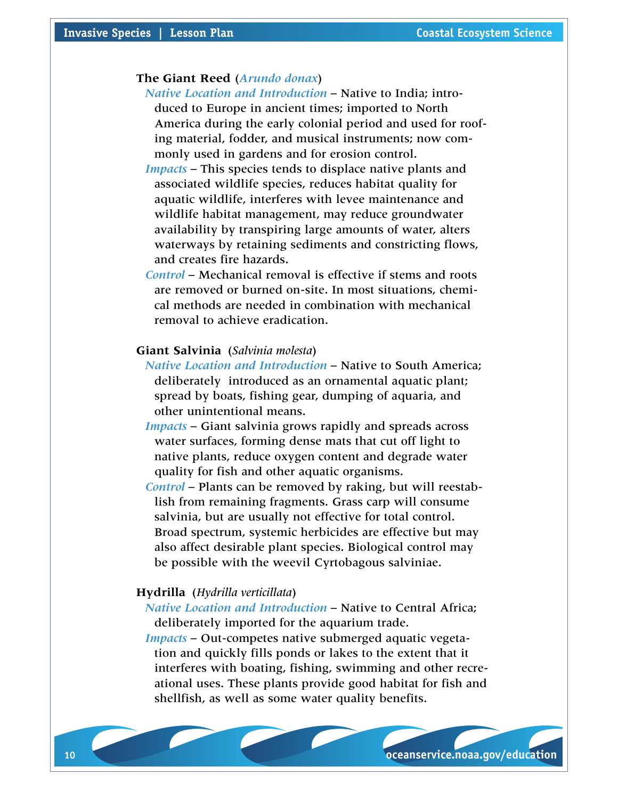# **The Giant Reed** (*Arundo donax*)

- *Native Location and Introduction* Native to India; introduced to Europe in ancient times; imported to North America during the early colonial period and used for roofing material, fodder, and musical instruments; now commonly used in gardens and for erosion control.
- *Impacts* This species tends to displace native plants and associated wildlife species, reduces habitat quality for aquatic wildlife, interferes with levee maintenance and wildlife habitat management, may reduce groundwater availability by transpiring large amounts of water, alters waterways by retaining sediments and constricting flows, and creates fire hazards.
- *Control* Mechanical removal is effective if stems and roots are removed or burned on-site. In most situations, chemical methods are needed in combination with mechanical removal to achieve eradication.

#### **Giant Salvinia** (*Salvinia molesta*)

- *Native Location and Introduction* Native to South America; deliberately introduced as an ornamental aquatic plant; spread by boats, fishing gear, dumping of aquaria, and other unintentional means.
- *Impacts* Giant salvinia grows rapidly and spreads across water surfaces, forming dense mats that cut off light to native plants, reduce oxygen content and degrade water quality for fish and other aquatic organisms.
- *Control* Plants can be removed by raking, but will reestablish from remaining fragments. Grass carp will consume salvinia, but are usually not effective for total control. Broad spectrum, systemic herbicides are effective but may also affect desirable plant species. Biological control may be possible with the weevil Cyrtobagous salviniae.

#### **Hydrilla** (*Hydrilla verticillata*)

- *Native Location and Introduction* Native to Central Africa; deliberately imported for the aquarium trade.
- *Impacts* Out-competes native submerged aquatic vegetation and quickly fills ponds or lakes to the extent that it interferes with boating, fishing, swimming and other recreational uses. These plants provide good habitat for fish and shellfish, as well as some water quality benefits.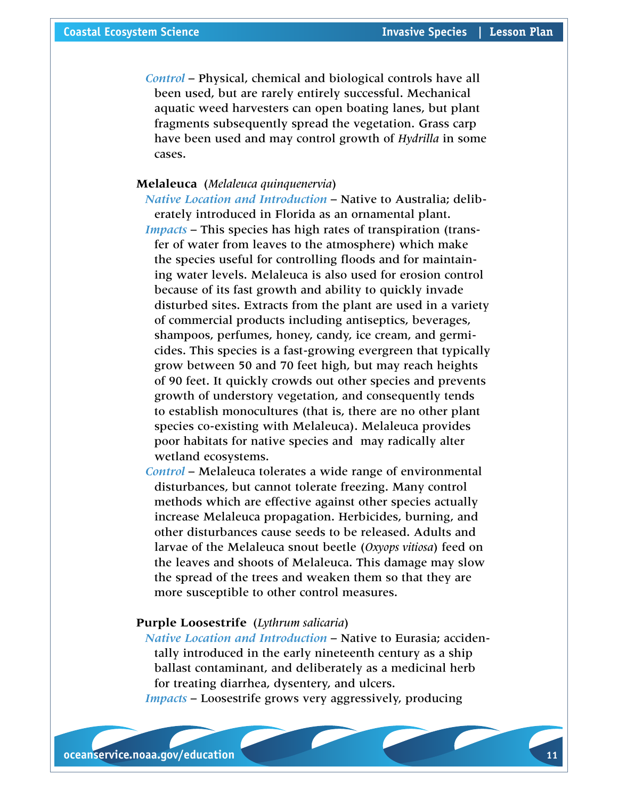*Control* – Physical, chemical and biological controls have all been used, but are rarely entirely successful. Mechanical aquatic weed harvesters can open boating lanes, but plant fragments subsequently spread the vegetation. Grass carp have been used and may control growth of *Hydrilla* in some cases.

# **Melaleuca** (*Melaleuca quinquenervia*)

*Native Location and Introduction* – Native to Australia; deliberately introduced in Florida as an ornamental plant.

*Impacts* – This species has high rates of transpiration (transfer of water from leaves to the atmosphere) which make the species useful for controlling floods and for maintaining water levels. Melaleuca is also used for erosion control because of its fast growth and ability to quickly invade disturbed sites. Extracts from the plant are used in a variety of commercial products including antiseptics, beverages, shampoos, perfumes, honey, candy, ice cream, and germicides. This species is a fast-growing evergreen that typically grow between 50 and 70 feet high, but may reach heights of 90 feet. It quickly crowds out other species and prevents growth of understory vegetation, and consequently tends to establish monocultures (that is, there are no other plant species co-existing with Melaleuca). Melaleuca provides poor habitats for native species and may radically alter wetland ecosystems.

*Control* – Melaleuca tolerates a wide range of environmental disturbances, but cannot tolerate freezing. Many control methods which are effective against other species actually increase Melaleuca propagation. Herbicides, burning, and other disturbances cause seeds to be released. Adults and larvae of the Melaleuca snout beetle (*Oxyops vitiosa*) feed on the leaves and shoots of Melaleuca. This damage may slow the spread of the trees and weaken them so that they are more susceptible to other control measures.

# **Purple Loosestrife** (*Lythrum salicaria*)

*Native Location and Introduction* – Native to Eurasia; accidentally introduced in the early nineteenth century as a ship ballast contaminant, and deliberately as a medicinal herb for treating diarrhea, dysentery, and ulcers.

*Impacts* – Loosestrife grows very aggressively, producing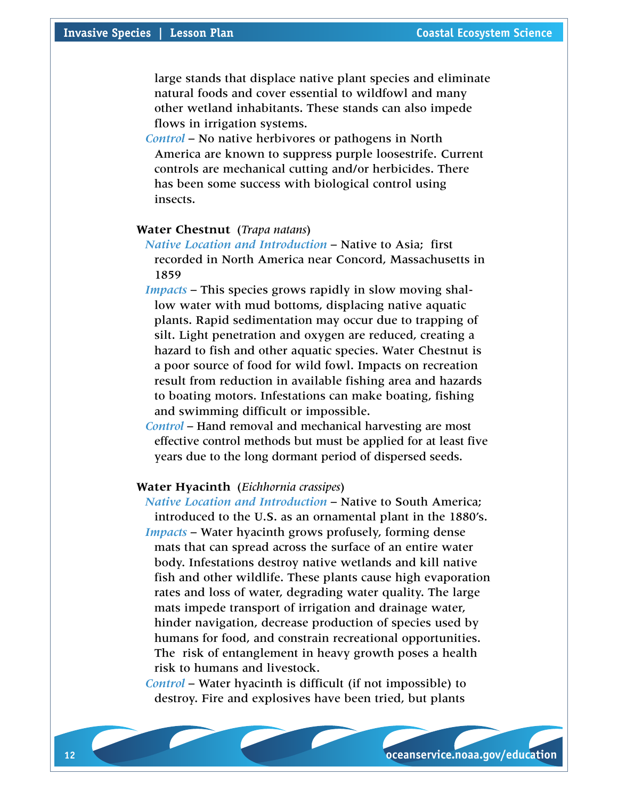large stands that displace native plant species and eliminate natural foods and cover essential to wildfowl and many other wetland inhabitants. These stands can also impede flows in irrigation systems.

*Control* – No native herbivores or pathogens in North America are known to suppress purple loosestrife. Current controls are mechanical cutting and/or herbicides. There has been some success with biological control using insects.

# **Water Chestnut** (*Trapa natans*)

*Native Location and Introduction* – Native to Asia; first recorded in North America near Concord, Massachusetts in 1859

- *Impacts* This species grows rapidly in slow moving shallow water with mud bottoms, displacing native aquatic plants. Rapid sedimentation may occur due to trapping of silt. Light penetration and oxygen are reduced, creating a hazard to fish and other aquatic species. Water Chestnut is a poor source of food for wild fowl. Impacts on recreation result from reduction in available fishing area and hazards to boating motors. Infestations can make boating, fishing and swimming difficult or impossible.
- *Control* Hand removal and mechanical harvesting are most effective control methods but must be applied for at least five years due to the long dormant period of dispersed seeds.

#### **Water Hyacinth** (*Eichhornia crassipes*)

*Native Location and Introduction* – Native to South America; introduced to the U.S. as an ornamental plant in the 1880's. *Impacts* – Water hyacinth grows profusely, forming dense mats that can spread across the surface of an entire water body. Infestations destroy native wetlands and kill native fish and other wildlife. These plants cause high evaporation rates and loss of water, degrading water quality. The large mats impede transport of irrigation and drainage water, hinder navigation, decrease production of species used by humans for food, and constrain recreational opportunities. The risk of entanglement in heavy growth poses a health risk to humans and livestock.

*Control* – Water hyacinth is difficult (if not impossible) to destroy. Fire and explosives have been tried, but plants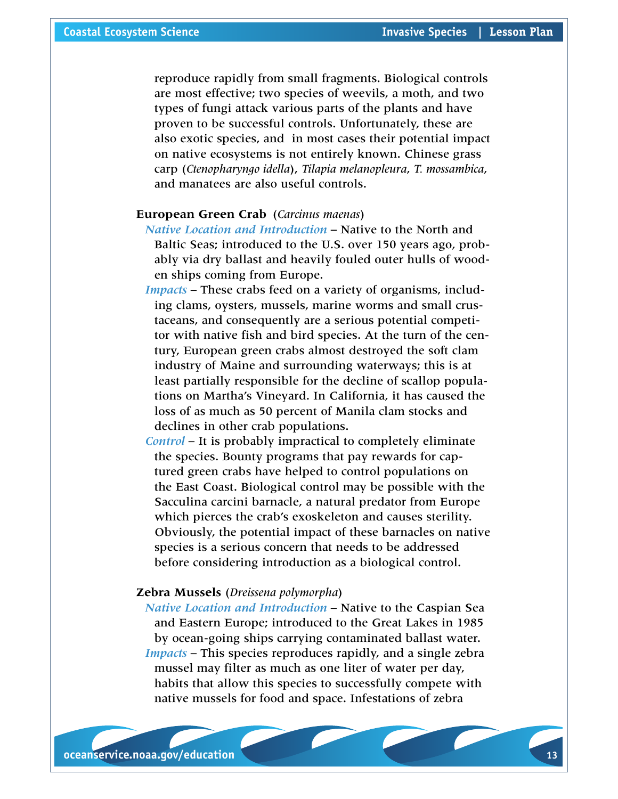reproduce rapidly from small fragments. Biological controls are most effective; two species of weevils, a moth, and two types of fungi attack various parts of the plants and have proven to be successful controls. Unfortunately, these are also exotic species, and in most cases their potential impact on native ecosystems is not entirely known. Chinese grass carp (*Ctenopharyngo idella*), *Tilapia melanopleura*, *T. mossambica*, and manatees are also useful controls.

# **European Green Crab** (*Carcinus maenas*)

- *Native Location and Introduction* Native to the North and Baltic Seas; introduced to the U.S. over 150 years ago, probably via dry ballast and heavily fouled outer hulls of wooden ships coming from Europe.
- *Impacts* These crabs feed on a variety of organisms, including clams, oysters, mussels, marine worms and small crustaceans, and consequently are a serious potential competitor with native fish and bird species. At the turn of the century, European green crabs almost destroyed the soft clam industry of Maine and surrounding waterways; this is at least partially responsible for the decline of scallop populations on Martha's Vineyard. In California, it has caused the loss of as much as 50 percent of Manila clam stocks and declines in other crab populations.
- *Control* It is probably impractical to completely eliminate the species. Bounty programs that pay rewards for captured green crabs have helped to control populations on the East Coast. Biological control may be possible with the Sacculina carcini barnacle, a natural predator from Europe which pierces the crab's exoskeleton and causes sterility. Obviously, the potential impact of these barnacles on native species is a serious concern that needs to be addressed before considering introduction as a biological control.

#### **Zebra Mussels** (*Dreissena polymorpha*)

*Native Location and Introduction* – Native to the Caspian Sea and Eastern Europe; introduced to the Great Lakes in 1985 by ocean-going ships carrying contaminated ballast water. *Impacts* – This species reproduces rapidly, and a single zebra mussel may filter as much as one liter of water per day, habits that allow this species to successfully compete with native mussels for food and space. Infestations of zebra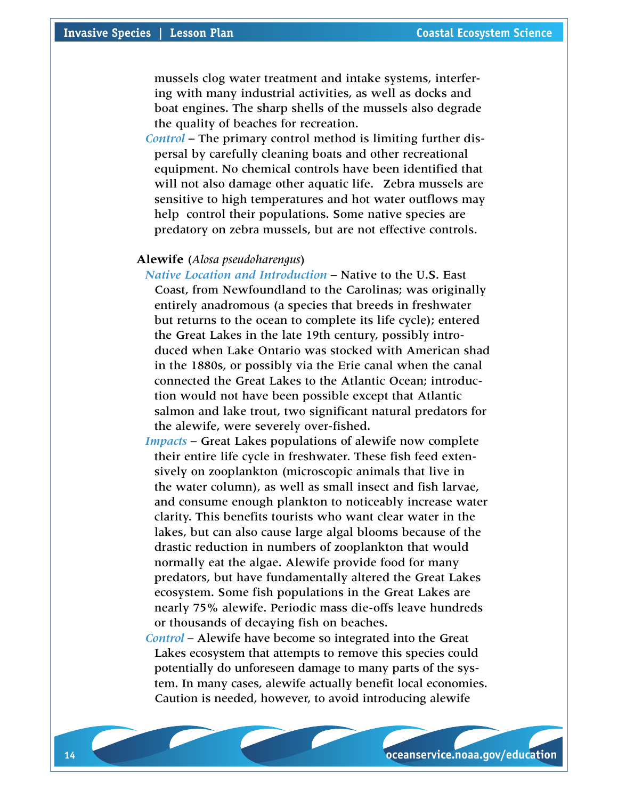mussels clog water treatment and intake systems, interfering with many industrial activities, as well as docks and boat engines. The sharp shells of the mussels also degrade the quality of beaches for recreation.

*Control* – The primary control method is limiting further dispersal by carefully cleaning boats and other recreational equipment. No chemical controls have been identified that will not also damage other aquatic life. Zebra mussels are sensitive to high temperatures and hot water outflows may help control their populations. Some native species are predatory on zebra mussels, but are not effective controls.

#### **Alewife** (*Alosa pseudoharengus*)

- *Native Location and Introduction* Native to the U.S. East Coast, from Newfoundland to the Carolinas; was originally entirely anadromous (a species that breeds in freshwater but returns to the ocean to complete its life cycle); entered the Great Lakes in the late 19th century, possibly introduced when Lake Ontario was stocked with American shad in the 1880s, or possibly via the Erie canal when the canal connected the Great Lakes to the Atlantic Ocean; introduction would not have been possible except that Atlantic salmon and lake trout, two significant natural predators for the alewife, were severely over-fished.
- *Impacts* Great Lakes populations of alewife now complete their entire life cycle in freshwater. These fish feed extensively on zooplankton (microscopic animals that live in the water column), as well as small insect and fish larvae, and consume enough plankton to noticeably increase water clarity. This benefits tourists who want clear water in the lakes, but can also cause large algal blooms because of the drastic reduction in numbers of zooplankton that would normally eat the algae. Alewife provide food for many predators, but have fundamentally altered the Great Lakes ecosystem. Some fish populations in the Great Lakes are nearly 75% alewife. Periodic mass die-offs leave hundreds or thousands of decaying fish on beaches.

*Control* – Alewife have become so integrated into the Great Lakes ecosystem that attempts to remove this species could potentially do unforeseen damage to many parts of the system. In many cases, alewife actually benefit local economies. Caution is needed, however, to avoid introducing alewife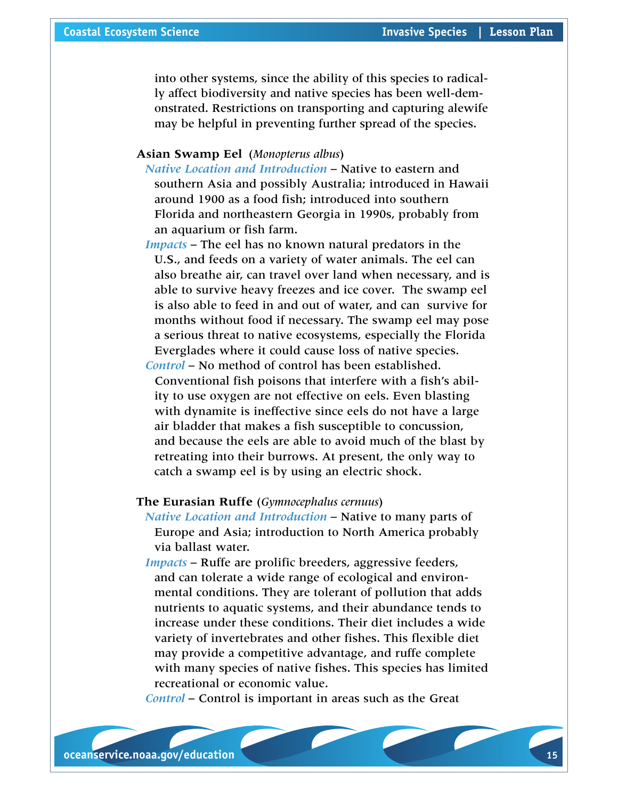into other systems, since the ability of this species to radically affect biodiversity and native species has been well-demonstrated. Restrictions on transporting and capturing alewife may be helpful in preventing further spread of the species.

# **Asian Swamp Eel** (*Monopterus albus*)

*Native Location and Introduction* – Native to eastern and southern Asia and possibly Australia; introduced in Hawaii around 1900 as a food fish; introduced into southern Florida and northeastern Georgia in 1990s, probably from an aquarium or fish farm.

*Impacts* – The eel has no known natural predators in the U.S., and feeds on a variety of water animals. The eel can also breathe air, can travel over land when necessary, and is able to survive heavy freezes and ice cover. The swamp eel is also able to feed in and out of water, and can survive for months without food if necessary. The swamp eel may pose a serious threat to native ecosystems, especially the Florida Everglades where it could cause loss of native species.

*Control* – No method of control has been established. Conventional fish poisons that interfere with a fish's ability to use oxygen are not effective on eels. Even blasting with dynamite is ineffective since eels do not have a large air bladder that makes a fish susceptible to concussion, and because the eels are able to avoid much of the blast by retreating into their burrows. At present, the only way to catch a swamp eel is by using an electric shock.

# **The Eurasian Ruffe** (*Gymnocephalus cernuus*)

*Native Location and Introduction* – Native to many parts of Europe and Asia; introduction to North America probably via ballast water.

*Impacts* – Ruffe are prolific breeders, aggressive feeders, and can tolerate a wide range of ecological and environmental conditions. They are tolerant of pollution that adds nutrients to aquatic systems, and their abundance tends to increase under these conditions. Their diet includes a wide variety of invertebrates and other fishes. This flexible diet may provide a competitive advantage, and ruffe complete with many species of native fishes. This species has limited recreational or economic value.

*Control* – Control is important in areas such as the Great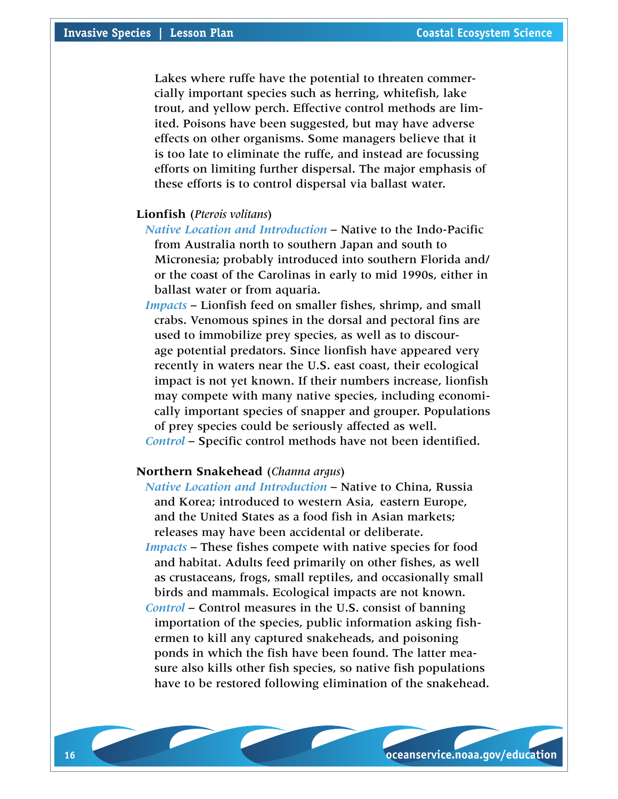Lakes where ruffe have the potential to threaten commercially important species such as herring, whitefish, lake trout, and yellow perch. Effective control methods are limited. Poisons have been suggested, but may have adverse effects on other organisms. Some managers believe that it is too late to eliminate the ruffe, and instead are focussing efforts on limiting further dispersal. The major emphasis of these efforts is to control dispersal via ballast water.

# **Lionfish** (*Pterois volitans*)

*Native Location and Introduction* – Native to the Indo-Pacific from Australia north to southern Japan and south to Micronesia; probably introduced into southern Florida and/ or the coast of the Carolinas in early to mid 1990s, either in ballast water or from aquaria.

*Impacts* – Lionfish feed on smaller fishes, shrimp, and small crabs. Venomous spines in the dorsal and pectoral fins are used to immobilize prey species, as well as to discourage potential predators. Since lionfish have appeared very recently in waters near the U.S. east coast, their ecological impact is not yet known. If their numbers increase, lionfish may compete with many native species, including economically important species of snapper and grouper. Populations of prey species could be seriously affected as well. *Control* – Specific control methods have not been identified.

# **Northern Snakehead** (*Channa argus*)

- *Native Location and Introduction* Native to China, Russia and Korea; introduced to western Asia, eastern Europe, and the United States as a food fish in Asian markets; releases may have been accidental or deliberate.
- *Impacts* These fishes compete with native species for food and habitat. Adults feed primarily on other fishes, as well as crustaceans, frogs, small reptiles, and occasionally small birds and mammals. Ecological impacts are not known.
- *Control* Control measures in the U.S. consist of banning importation of the species, public information asking fishermen to kill any captured snakeheads, and poisoning ponds in which the fish have been found. The latter measure also kills other fish species, so native fish populations have to be restored following elimination of the snakehead.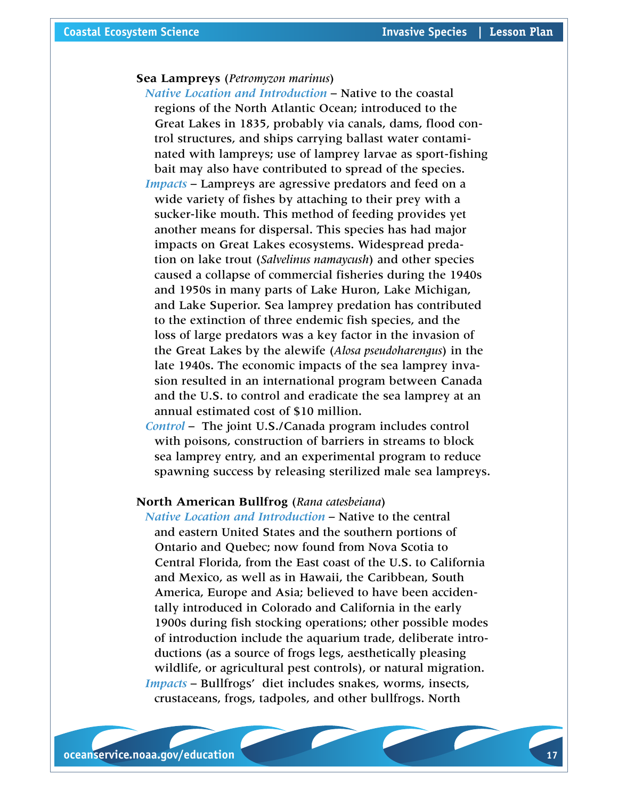# **Sea Lampreys** (*Petromyzon marinus*)

*Native Location and Introduction* – Native to the coastal regions of the North Atlantic Ocean; introduced to the Great Lakes in 1835, probably via canals, dams, flood control structures, and ships carrying ballast water contaminated with lampreys; use of lamprey larvae as sport-fishing bait may also have contributed to spread of the species. *Impacts* – Lampreys are agressive predators and feed on a wide variety of fishes by attaching to their prey with a sucker-like mouth. This method of feeding provides yet another means for dispersal. This species has had major impacts on Great Lakes ecosystems. Widespread predation on lake trout (*Salvelinus namaycush*) and other species caused a collapse of commercial fisheries during the 1940s and 1950s in many parts of Lake Huron, Lake Michigan, and Lake Superior. Sea lamprey predation has contributed to the extinction of three endemic fish species, and the loss of large predators was a key factor in the invasion of the Great Lakes by the alewife (*Alosa pseudoharengus*) in the late 1940s. The economic impacts of the sea lamprey invasion resulted in an international program between Canada and the U.S. to control and eradicate the sea lamprey at an annual estimated cost of \$10 million.

*Control* – The joint U.S./Canada program includes control with poisons, construction of barriers in streams to block sea lamprey entry, and an experimental program to reduce spawning success by releasing sterilized male sea lampreys.

# **North American Bullfrog** (*Rana catesbeiana*)

*Native Location and Introduction* – Native to the central and eastern United States and the southern portions of Ontario and Quebec; now found from Nova Scotia to Central Florida, from the East coast of the U.S. to California and Mexico, as well as in Hawaii, the Caribbean, South America, Europe and Asia; believed to have been accidentally introduced in Colorado and California in the early 1900s during fish stocking operations; other possible modes of introduction include the aquarium trade, deliberate introductions (as a source of frogs legs, aesthetically pleasing wildlife, or agricultural pest controls), or natural migration. *Impacts* – Bullfrogs' diet includes snakes, worms, insects, crustaceans, frogs, tadpoles, and other bullfrogs. North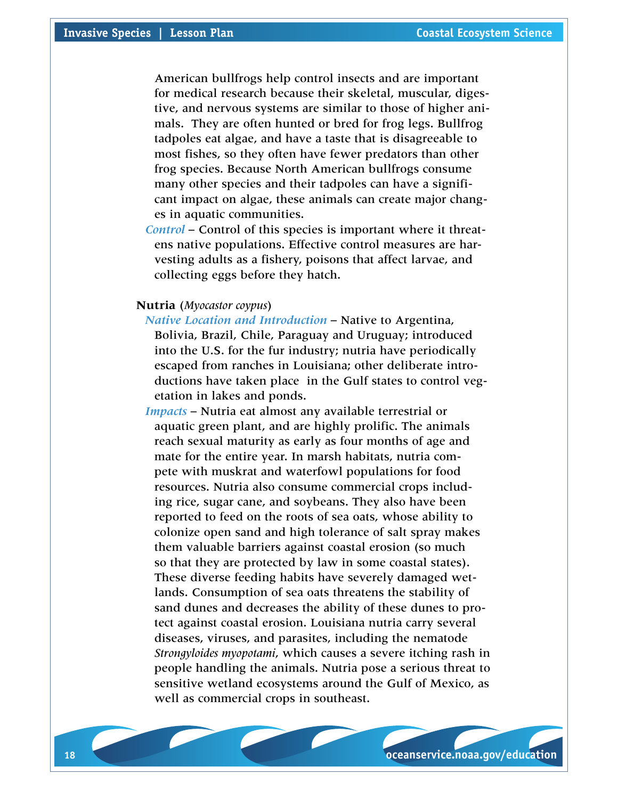American bullfrogs help control insects and are important for medical research because their skeletal, muscular, digestive, and nervous systems are similar to those of higher animals. They are often hunted or bred for frog legs. Bullfrog tadpoles eat algae, and have a taste that is disagreeable to most fishes, so they often have fewer predators than other frog species. Because North American bullfrogs consume many other species and their tadpoles can have a significant impact on algae, these animals can create major changes in aquatic communities.

*Control* – Control of this species is important where it threatens native populations. Effective control measures are harvesting adults as a fishery, poisons that affect larvae, and collecting eggs before they hatch.

# **Nutria** (*Myocastor coypus*)

*Native Location and Introduction* – Native to Argentina, Bolivia, Brazil, Chile, Paraguay and Uruguay; introduced into the U.S. for the fur industry; nutria have periodically escaped from ranches in Louisiana; other deliberate introductions have taken place in the Gulf states to control vegetation in lakes and ponds.

*Impacts* – Nutria eat almost any available terrestrial or aquatic green plant, and are highly prolific. The animals reach sexual maturity as early as four months of age and mate for the entire year. In marsh habitats, nutria compete with muskrat and waterfowl populations for food resources. Nutria also consume commercial crops including rice, sugar cane, and soybeans. They also have been reported to feed on the roots of sea oats, whose ability to colonize open sand and high tolerance of salt spray makes them valuable barriers against coastal erosion (so much so that they are protected by law in some coastal states). These diverse feeding habits have severely damaged wetlands. Consumption of sea oats threatens the stability of sand dunes and decreases the ability of these dunes to protect against coastal erosion. Louisiana nutria carry several diseases, viruses, and parasites, including the nematode *Strongyloides myopotami*, which causes a severe itching rash in people handling the animals. Nutria pose a serious threat to sensitive wetland ecosystems around the Gulf of Mexico, as well as commercial crops in southeast.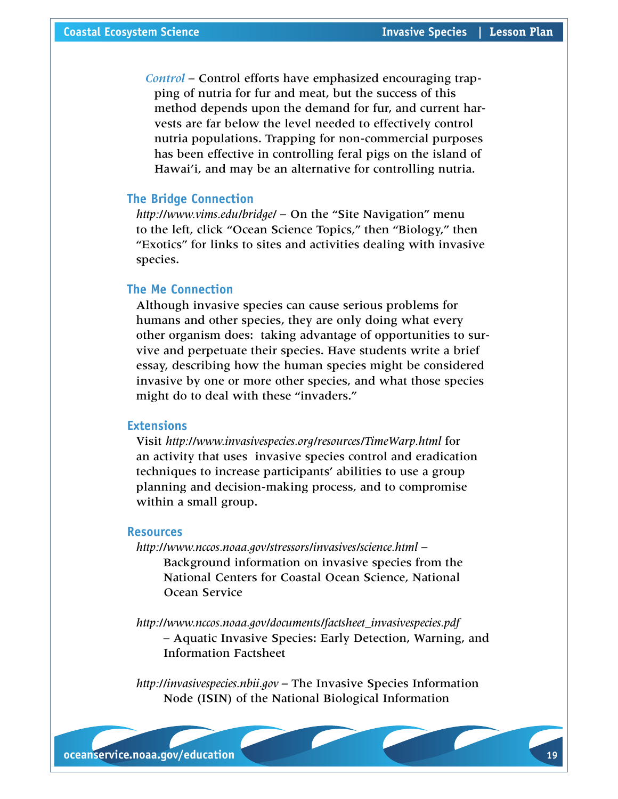*Control* – Control efforts have emphasized encouraging trapping of nutria for fur and meat, but the success of this method depends upon the demand for fur, and current harvests are far below the level needed to effectively control nutria populations. Trapping for non-commercial purposes has been effective in controlling feral pigs on the island of Hawai'i, and may be an alternative for controlling nutria.

#### **The Bridge Connection**

*<http://www.vims.edu/bridge/>* – On the "Site Navigation" menu to the left, click "Ocean Science Topics," then "Biology," then "Exotics" for links to sites and activities dealing with invasive species.

# **The Me Connection**

Although invasive species can cause serious problems for humans and other species, they are only doing what every other organism does: taking advantage of opportunities to survive and perpetuate their species. Have students write a brief essay, describing how the human species might be considered invasive by one or more other species, and what those species might do to deal with these "invaders."

#### **Extensions**

Visit *<http://www.invasivespecies.org/resources/TimeWarp.html>* for an activity that uses invasive species control and eradication techniques to increase participants' abilities to use a group planning and decision-making process, and to compromise within a small group.

#### **Resources**

*<http://www.nccos.noaa.gov/stressors/invasives/science.html>* – Background information on invasive species from the National Centers for Coastal Ocean Science, National Ocean Service

*[http://www.nccos.noaa.gov/documents/factsheet\\_invasivespecies.pdf](http://www.nccos.noaa.gov/documents/factsheet_invasivespecies.pdf )*  – Aquatic Invasive Species: Early Detection, Warning, and Information Factsheet

*[http://invasivespecies.nbii.gov](http://invasivespecies.nbii.gov )* – The Invasive Species Information Node (ISIN) of the National Biological Information